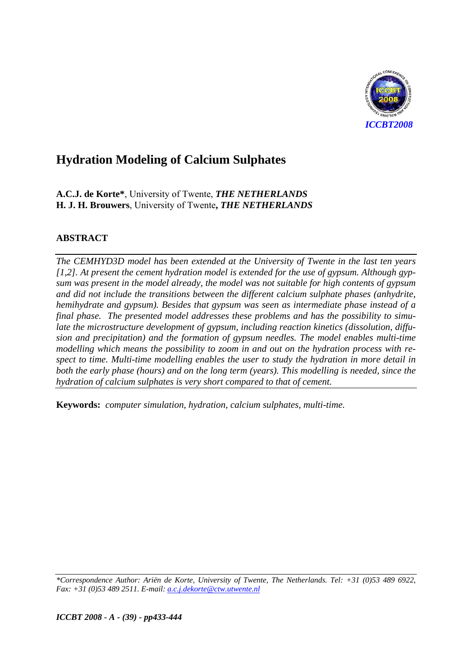

A.C.J. de Korte\*, University of Twente, THE NETHERLANDS H. J. H. Brouwers, University of Twente, THE NETHERLANDS

## **ABSTRACT**

The CEMHYD3D model has been extended at the University of Twente in the last ten years  $[1,2]$ . At present the cement hydration model is extended for the use of gypsum. Although gypsum was present in the model already, the model was not suitable for high contents of gypsum and did not include the transitions between the different calcium sulphate phases (anhydrite, hemihydrate and gypsum). Besides that gypsum was seen as intermediate phase instead of a final phase. The presented model addresses these problems and has the possibility to simulate the microstructure development of gypsum, including reaction kinetics (dissolution, diffusion and precipitation) and the formation of gypsum needles. The model enables multi-time modelling which means the possibility to zoom in and out on the hydration process with respect to time. Multi-time modelling enables the user to study the hydration in more detail in both the early phase (hours) and on the long term (years). This modelling is needed, since the hydration of calcium sulphates is very short compared to that of cement.

Keywords: computer simulation, hydration, calcium sulphates, multi-time.

\*Correspondence Author: Ariën de Korte, University of Twente, The Netherlands. Tel: +31 (0)53 489 6922, Fax: +31 (0)53 489 2511. E-mail: a.c.j.dekorte@ctw.utwente.nl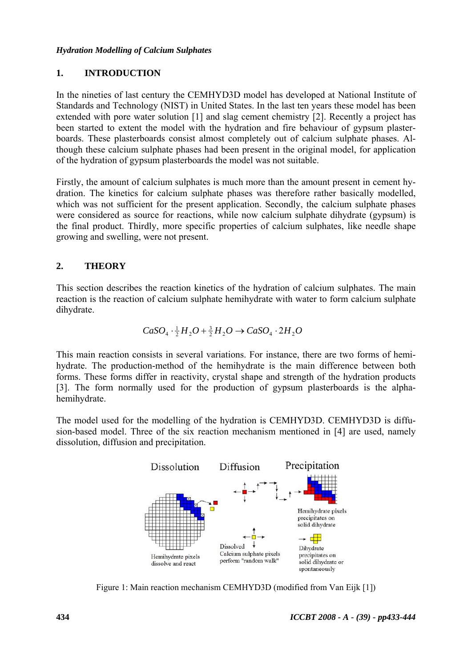#### $1.$ **INTRODUCTION**

In the nineties of last century the CEMHYD3D model has developed at National Institute of Standards and Technology (NIST) in United States. In the last ten years these model has been extended with pore water solution [1] and slag cement chemistry [2]. Recently a project has been started to extent the model with the hydration and fire behaviour of gypsum plasterboards. These plasterboards consist almost completely out of calcium sulphate phases. Although these calcium sulphate phases had been present in the original model, for application of the hydration of gypsum plasterboards the model was not suitable.

Firstly, the amount of calcium sulphates is much more than the amount present in cement hydration. The kinetics for calcium sulphate phases was therefore rather basically modelled, which was not sufficient for the present application. Secondly, the calcium sulphate phases were considered as source for reactions, while now calcium sulphate dihydrate (gypsum) is the final product. Thirdly, more specific properties of calcium sulphates, like needle shape growing and swelling, were not present.

#### $2<sub>1</sub>$ **THEORY**

This section describes the reaction kinetics of the hydration of calcium sulphates. The main reaction is the reaction of calcium sulphate hemihydrate with water to form calcium sulphate dihydrate.

$$
CaSO_4 \cdot \frac{1}{2}H_2O + \frac{3}{2}H_2O \rightarrow CaSO_4 \cdot 2H_2O
$$

This main reaction consists in several variations. For instance, there are two forms of hemihydrate. The production-method of the hemihydrate is the main difference between both forms. These forms differ in reactivity, crystal shape and strength of the hydration products [3]. The form normally used for the production of gypsum plasterboards is the alphahemihydrate.

The model used for the modelling of the hydration is CEMHYD3D. CEMHYD3D is diffusion-based model. Three of the six reaction mechanism mentioned in [4] are used, namely dissolution, diffusion and precipitation.



Figure 1: Main reaction mechanism CEMHYD3D (modified from Van Eijk [1])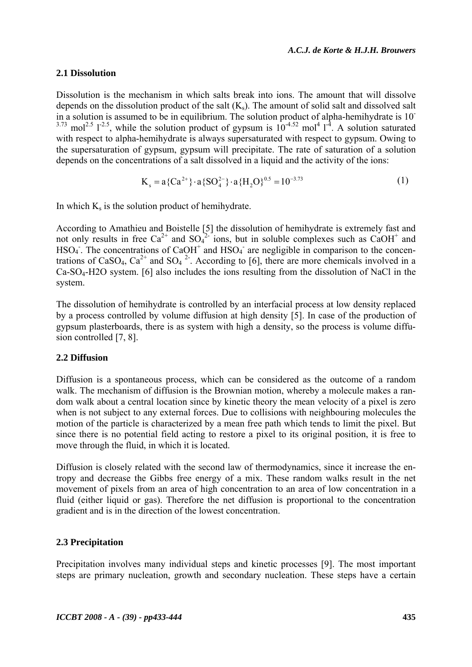### 2.1 Dissolution

Dissolution is the mechanism in which salts break into ions. The amount that will dissolve depends on the dissolution product of the salt  $(K_s)$ . The amount of solid salt and dissolved salt in a solution is assumed to be in equilibrium. The solution product of alpha-hemihydrate is 10<sup>-</sup> <sup>3.73</sup> mol<sup>2.5</sup> 1<sup>-2.5</sup>, while the solution product of gypsum is  $10^{-4.52}$  mol<sup>4</sup> 1<sup>-4</sup>. A solution saturated with respect to alpha-hemihydrate is always supersaturated with respect to gypsum. Owing to the supersaturation of gypsum, gypsum will precipitate. The rate of saturation of a solution depends on the concentrations of a salt dissolved in a liquid and the activity of the ions:

$$
K_s = a\{Ca^{2+}\} \cdot a\{SO_4^{2-}\} \cdot a\{H_2O\}^{0.5} = 10^{-3.73}
$$
 (1)

In which  $K_s$  is the solution product of hemihydrate.

According to Amathieu and Boistelle [5] the dissolution of hemihydrate is extremely fast and not only results in free  $Ca^{2+}$  and  $SO_4^{2-}$  ions, but in soluble complexes such as  $CaOH^+$  and  $HSO<sub>4</sub>$ . The concentrations of CaOH<sup>+</sup> and HSO<sub>4</sub><sup>-</sup> are negligible in comparison to the concentrations of CaSO<sub>4</sub>, Ca<sup>2+</sup> and SO<sub>4</sub><sup>2</sup>. According to [6], there are more chemicals involved in a  $Ca-SO<sub>4</sub>-H2O$  system. [6] also includes the ions resulting from the dissolution of NaCl in the system.

The dissolution of hemihydrate is controlled by an interfacial process at low density replaced by a process controlled by volume diffusion at high density [5]. In case of the production of gypsum plasterboards, there is as system with high a density, so the process is volume diffusion controlled [7, 8].

#### 2.2 Diffusion

Diffusion is a spontaneous process, which can be considered as the outcome of a random walk. The mechanism of diffusion is the Brownian motion, whereby a molecule makes a random walk about a central location since by kinetic theory the mean velocity of a pixel is zero when is not subject to any external forces. Due to collisions with neighbouring molecules the motion of the particle is characterized by a mean free path which tends to limit the pixel. But since there is no potential field acting to restore a pixel to its original position, it is free to move through the fluid, in which it is located.

Diffusion is closely related with the second law of thermodynamics, since it increase the entropy and decrease the Gibbs free energy of a mix. These random walks result in the net movement of pixels from an area of high concentration to an area of low concentration in a fluid (either liquid or gas). Therefore the net diffusion is proportional to the concentration gradient and is in the direction of the lowest concentration.

### 2.3 Precipitation

Precipitation involves many individual steps and kinetic processes [9]. The most important steps are primary nucleation, growth and secondary nucleation. These steps have a certain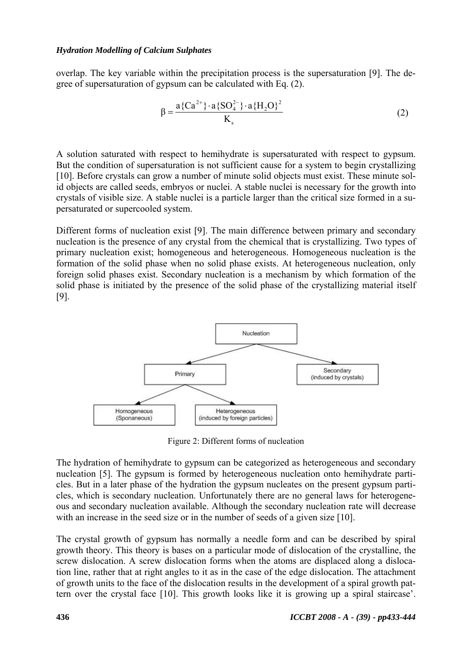overlap. The key variable within the precipitation process is the supersaturation [9]. The degree of supersaturation of gypsum can be calculated with Eq. (2).

$$
\beta = \frac{a\{Ca^{2+}\} \cdot a\{SO_4^{2-}\} \cdot a\{H_2O\}^2}{K_s}
$$
 (2)

A solution saturated with respect to hemihydrate is supersaturated with respect to gypsum. But the condition of supersaturation is not sufficient cause for a system to begin crystallizing [10]. Before crystals can grow a number of minute solid objects must exist. These minute solid objects are called seeds, embryos or nuclei. A stable nuclei is necessary for the growth into crystals of visible size. A stable nuclei is a particle larger than the critical size formed in a supersaturated or supercooled system.

Different forms of nucleation exist [9]. The main difference between primary and secondary nucleation is the presence of any crystal from the chemical that is crystallizing. Two types of primary nucleation exist; homogeneous and heterogeneous. Homogeneous nucleation is the formation of the solid phase when no solid phase exists. At heterogeneous nucleation, only foreign solid phases exist. Secondary nucleation is a mechanism by which formation of the solid phase is initiated by the presence of the solid phase of the crystallizing material itself  $[9]$ .



Figure 2: Different forms of nucleation

The hydration of hemihydrate to gypsum can be categorized as heterogeneous and secondary nucleation [5]. The gypsum is formed by heterogeneous nucleation onto hemihydrate particles. But in a later phase of the hydration the gypsum nucleates on the present gypsum particles, which is secondary nucleation. Unfortunately there are no general laws for heterogeneous and secondary nucleation available. Although the secondary nucleation rate will decrease with an increase in the seed size or in the number of seeds of a given size [10].

The crystal growth of gypsum has normally a needle form and can be described by spiral growth theory. This theory is bases on a particular mode of dislocation of the crystalline, the screw dislocation. A screw dislocation forms when the atoms are displaced along a dislocation line, rather that at right angles to it as in the case of the edge dislocation. The attachment of growth units to the face of the dislocation results in the development of a spiral growth pattern over the crystal face [10]. This growth looks like it is growing up a spiral staircase'.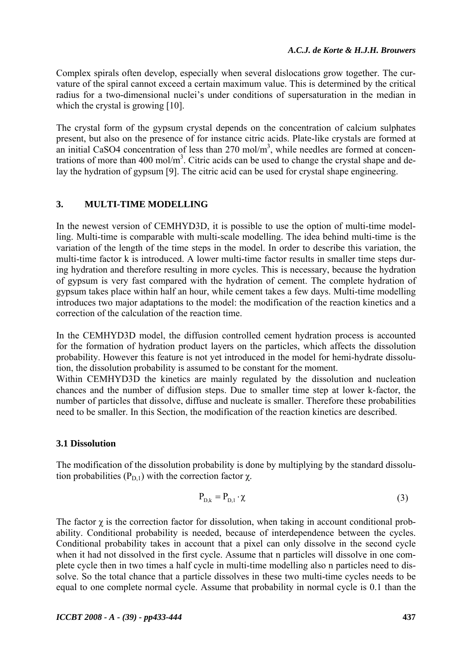Complex spirals often develop, especially when several dislocations grow together. The curvature of the spiral cannot exceed a certain maximum value. This is determined by the critical radius for a two-dimensional nuclei's under conditions of supersaturation in the median in which the crystal is growing  $[10]$ .

The crystal form of the gypsum crystal depends on the concentration of calcium sulphates present, but also on the presence of for instance citric acids. Plate-like crystals are formed at an initial CaSO4 concentration of less than  $270 \text{ mol/m}^3$ , while needles are formed at concentrations of more than 400 mol/m<sup>3</sup>. Citric acids can be used to change the crystal shape and delay the hydration of gypsum [9]. The citric acid can be used for crystal shape engineering.

#### $3.$ **MULTI-TIME MODELLING**

In the newest version of CEMHYD3D, it is possible to use the option of multi-time modelling. Multi-time is comparable with multi-scale modelling. The idea behind multi-time is the variation of the length of the time steps in the model. In order to describe this variation, the multi-time factor k is introduced. A lower multi-time factor results in smaller time steps during hydration and therefore resulting in more cycles. This is necessary, because the hydration of gypsum is very fast compared with the hydration of cement. The complete hydration of gypsum takes place within half an hour, while cement takes a few days. Multi-time modelling introduces two major adaptations to the model: the modification of the reaction kinetics and a correction of the calculation of the reaction time.

In the CEMHYD3D model, the diffusion controlled cement hydration process is accounted for the formation of hydration product layers on the particles, which affects the dissolution probability. However this feature is not yet introduced in the model for hemi-hydrate dissolution, the dissolution probability is assumed to be constant for the moment.

Within CEMHYD3D the kinetics are mainly regulated by the dissolution and nucleation chances and the number of diffusion steps. Due to smaller time step at lower k-factor, the number of particles that dissolve, diffuse and nucleate is smaller. Therefore these probabilities need to be smaller. In this Section, the modification of the reaction kinetics are described.

### 3.1 Dissolution

The modification of the dissolution probability is done by multiplying by the standard dissolution probabilities ( $P_{D,1}$ ) with the correction factor  $\chi$ .

$$
P_{D,k} = P_{D,1} \cdot \chi \tag{3}
$$

The factor  $\gamma$  is the correction factor for dissolution, when taking in account conditional probability. Conditional probability is needed, because of interdependence between the cycles. Conditional probability takes in account that a pixel can only dissolve in the second cycle when it had not dissolved in the first cycle. Assume that n particles will dissolve in one complete cycle then in two times a half cycle in multi-time modelling also n particles need to dissolve. So the total chance that a particle dissolves in these two multi-time cycles needs to be equal to one complete normal cycle. Assume that probability in normal cycle is 0.1 than the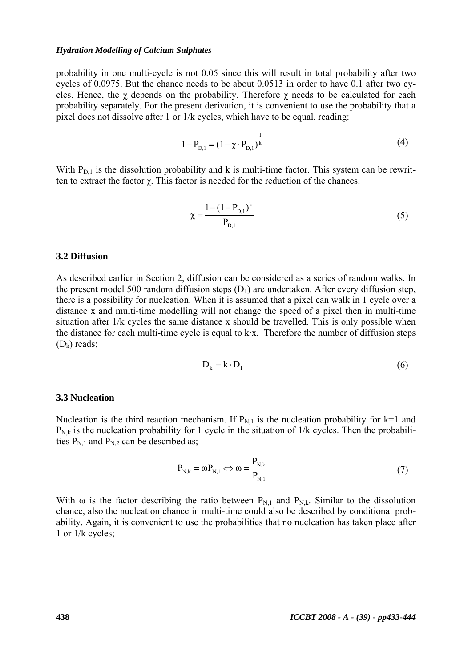probability in one multi-cycle is not 0.05 since this will result in total probability after two cycles of 0.0975. But the chance needs to be about 0.0513 in order to have 0.1 after two cycles. Hence, the  $\gamma$  depends on the probability. Therefore  $\gamma$  needs to be calculated for each probability separately. For the present derivation, it is convenient to use the probability that a pixel does not dissolve after 1 or 1/k cycles, which have to be equal, reading:

$$
1 - P_{D,1} = (1 - \chi \cdot P_{D,1})^{\frac{1}{k}}
$$
 (4)

With  $P_{D,1}$  is the dissolution probability and k is multi-time factor. This system can be rewritten to extract the factor  $\chi$ . This factor is needed for the reduction of the chances.

$$
\chi = \frac{1 - (1 - P_{D,1})^k}{P_{D,1}}\tag{5}
$$

#### 3.2 Diffusion

As described earlier in Section 2, diffusion can be considered as a series of random walks. In the present model 500 random diffusion steps  $(D_1)$  are undertaken. After every diffusion step, there is a possibility for nucleation. When it is assumed that a pixel can walk in 1 cycle over a distance x and multi-time modelling will not change the speed of a pixel then in multi-time situation after 1/k cycles the same distance x should be travelled. This is only possible when the distance for each multi-time cycle is equal to  $k \cdot x$ . Therefore the number of diffusion steps  $(D_k)$  reads:

$$
D_k = k \cdot D_1 \tag{6}
$$

#### **3.3 Nucleation**

Nucleation is the third reaction mechanism. If  $P_{N,1}$  is the nucleation probability for k=1 and  $P_{N,k}$  is the nucleation probability for 1 cycle in the situation of 1/k cycles. Then the probabilities  $P_{N,1}$  and  $P_{N,2}$  can be described as;

$$
P_{N,k} = \omega P_{N,1} \Leftrightarrow \omega = \frac{P_{N,k}}{P_{N,1}}\tag{7}
$$

With  $\omega$  is the factor describing the ratio between  $P_{N,1}$  and  $P_{N,k}$ . Similar to the dissolution chance, also the nucleation chance in multi-time could also be described by conditional probability. Again, it is convenient to use the probabilities that no nucleation has taken place after 1 or  $1/k$  cycles: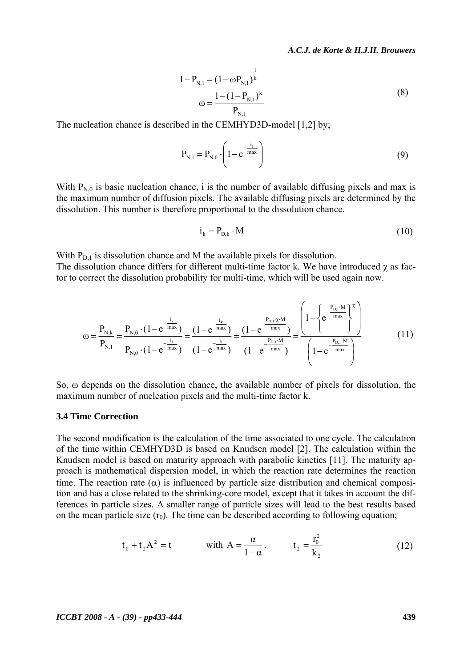A.C.J. de Korte & H.J.H. Brouwers

$$
1 - P_{N,1} = (1 - \omega P_{N,1})^{\frac{1}{k}}
$$
  

$$
\omega = \frac{1 - (1 - P_{N,1})^k}{P_{N,1}}
$$
 (8)

The nucleation chance is described in the CEMHYD3D-model [1,2] by;

$$
P_{N,1} = P_{N,0} \cdot \left(1 - e^{-\frac{i_1}{max}}\right)
$$
 (9)

With  $P_{N,0}$  is basic nucleation chance, i is the number of available diffusing pixels and max is the maximum number of diffusion pixels. The available diffusing pixels are determined by the dissolution. This number is therefore proportional to the dissolution chance.

$$
i_k = P_{D,k} \cdot M \tag{10}
$$

With  $P_{D,1}$  is dissolution chance and M the available pixels for dissolution. The dissolution chance differs for different multi-time factor k. We have introduced  $\gamma$  as factor to correct the dissolution probability for multi-time, which will be used again now.

$$
\omega = \frac{P_{N,k}}{P_{N,1}} = \frac{P_{N,0} \cdot (1 - e^{-\frac{i_k}{\max}})}{P_{N,0} \cdot (1 - e^{-\frac{i_l}{\max}})} = \frac{(1 - e^{-\frac{i_k}{\max}})}{(1 - e^{-\frac{i_l}{\max}})} = \frac{(1 - e^{-\frac{P_{D,1} \cdot \chi \cdot M}{\max}})}{(1 - e^{-\frac{P_{D,1} \cdot M}{\max}})} = \frac{\left(1 - \left\{e^{\frac{P_{D,1} \cdot M}{\max}}\right\}^{\chi}\right)}{\left(1 - e^{-\frac{P_{D,1} \cdot M}{\max}}\right)}
$$
(11)

So,  $\omega$  depends on the dissolution chance, the available number of pixels for dissolution, the maximum number of nucleation pixels and the multi-time factor k.

#### **3.4 Time Correction**

The second modification is the calculation of the time associated to one cycle. The calculation of the time within CEMHYD3D is based on Knudsen model [2]. The calculation within the Knudsen model is based on maturity approach with parabolic kinetics [11]. The maturity approach is mathematical dispersion model, in which the reaction rate determines the reaction time. The reaction rate  $(\alpha)$  is influenced by particle size distribution and chemical composition and has a close related to the shrinking-core model, except that it takes in account the differences in particle sizes. A smaller range of particle sizes will lead to the best results based on the mean particle size  $(r_0)$ . The time can be described according to following equation;

$$
t_0 + t_2 A^2 = t
$$
 with  $A = \frac{\alpha}{1 - \alpha}$ ,  $t_2 = \frac{r_0^2}{k_2}$  (12)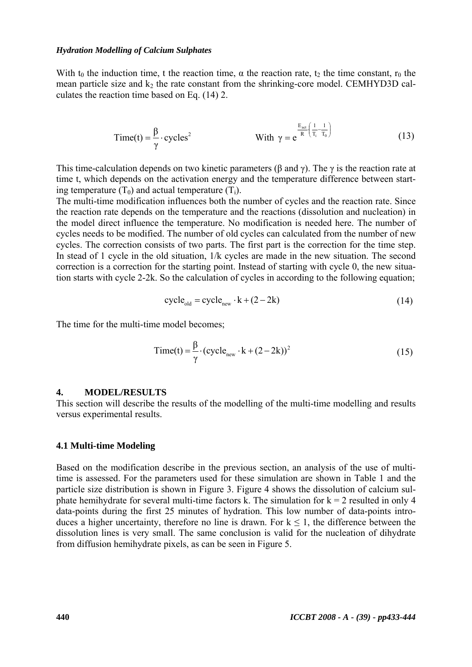With  $t_0$  the induction time, t the reaction time,  $\alpha$  the reaction rate,  $t_2$  the time constant,  $r_0$  the mean particle size and k<sub>2</sub> the rate constant from the shrinking-core model. CEMHYD3D calculates the reaction time based on Eq. (14) 2.

$$
Time(t) = \frac{\beta}{\gamma} \cdot cycles^2
$$
 With  $\gamma = e^{\frac{E_{\text{act}}}{R} \left(\frac{1}{T_i} - \frac{1}{T_0}\right)}$  (13)

This time-calculation depends on two kinetic parameters ( $\beta$  and  $\gamma$ ). The  $\gamma$  is the reaction rate at time t, which depends on the activation energy and the temperature difference between starting temperature  $(T_0)$  and actual temperature  $(T_i)$ .

The multi-time modification influences both the number of cycles and the reaction rate. Since the reaction rate depends on the temperature and the reactions (dissolution and nucleation) in the model direct influence the temperature. No modification is needed here. The number of cycles needs to be modified. The number of old cycles can calculated from the number of new cycles. The correction consists of two parts. The first part is the correction for the time step. In stead of 1 cycle in the old situation, 1/k cycles are made in the new situation. The second correction is a correction for the starting point. Instead of starting with cycle 0, the new situation starts with cycle 2-2k. So the calculation of cycles in according to the following equation;

$$
cycle_{old} = cycle_{new} \cdot k + (2 - 2k) \tag{14}
$$

The time for the multi-time model becomes;

$$
Time(t) = \frac{\beta}{\gamma} \cdot (cycle_{new} \cdot k + (2 - 2k))^2
$$
 (15)

#### $\overline{4}$ . **MODEL/RESULTS**

This section will describe the results of the modelling of the multi-time modelling and results versus experimental results.

#### 4.1 Multi-time Modeling

Based on the modification describe in the previous section, an analysis of the use of multitime is assessed. For the parameters used for these simulation are shown in Table 1 and the particle size distribution is shown in Figure 3. Figure 4 shows the dissolution of calcium sulphate hemihydrate for several multi-time factors k. The simulation for  $k = 2$  resulted in only 4 data-points during the first 25 minutes of hydration. This low number of data-points introduces a higher uncertainty, therefore no line is drawn. For  $k \le 1$ , the difference between the dissolution lines is very small. The same conclusion is valid for the nucleation of dihydrate from diffusion hemihydrate pixels, as can be seen in Figure 5.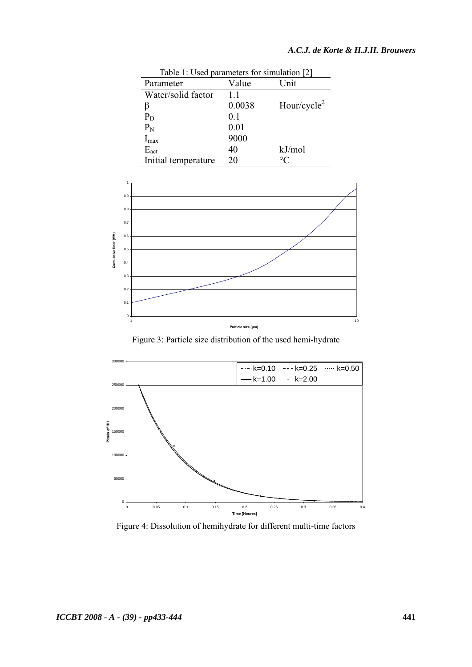| Table 1: Used parameters for simulation [2] |                |                         |
|---------------------------------------------|----------------|-------------------------|
| Parameter                                   | Value          | Unit                    |
| Water/solid factor                          | 11             |                         |
|                                             | 0.0038         | Hour/cycle <sup>2</sup> |
| $P_D$                                       | 0 <sub>1</sub> |                         |
| $P_N$                                       | 0.01           |                         |
| $I_{\text{max}}$                            | 9000           |                         |
| $E_{act}$                                   | 40             | kJ/mol                  |
| Initial temperature                         | 20             | $^{\circ}$ C            |



Figure 3: Particle size distribution of the used hemi-hydrate



Figure 4: Dissolution of hemihydrate for different multi-time factors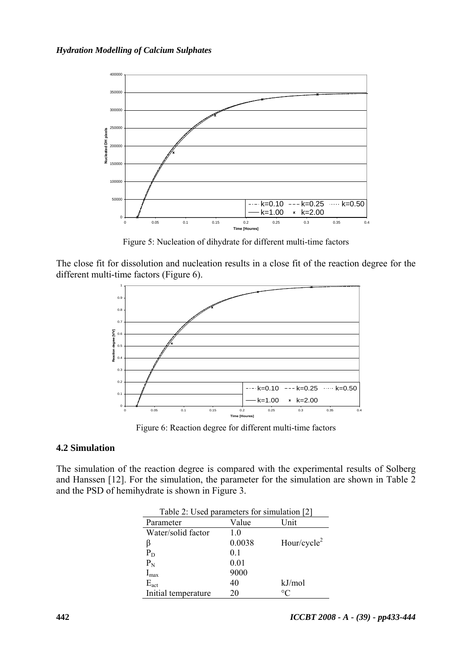

Figure 5: Nucleation of dihydrate for different multi-time factors

The close fit for dissolution and nucleation results in a close fit of the reaction degree for the different multi-time factors (Figure 6).



Figure 6: Reaction degree for different multi-time factors

### **4.2 Simulation**

The simulation of the reaction degree is compared with the experimental results of Solberg and Hanssen [12]. For the simulation, the parameter for the simulation are shown in Table 2 and the PSD of hemihydrate is shown in Figure 3.

| Table 2: Used parameters for simulation [2] |        |                         |
|---------------------------------------------|--------|-------------------------|
| Parameter                                   | Value  | Unit                    |
| Water/solid factor                          | 1.0    |                         |
| β                                           | 0.0038 | Hour/cycle <sup>2</sup> |
| $P_D$                                       | 0.1    |                         |
| $P_N$                                       | 0.01   |                         |
| $I_{\text{max}}$                            | 9000   |                         |
| $E_{act}$                                   | 40     | kJ/mol                  |
| Initial temperature                         | 20     | °C                      |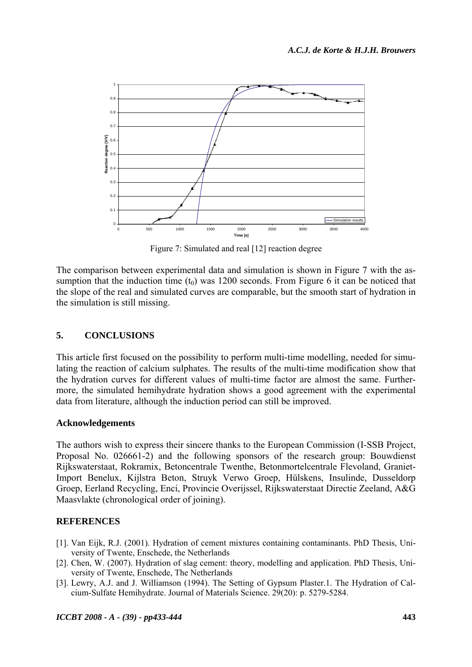

Figure 7: Simulated and real [12] reaction degree

The comparison between experimental data and simulation is shown in Figure 7 with the assumption that the induction time  $(t_0)$  was 1200 seconds. From Figure 6 it can be noticed that the slope of the real and simulated curves are comparable, but the smooth start of hydration in the simulation is still missing.

#### $\overline{\mathbf{5}}$ . **CONCLUSIONS**

This article first focused on the possibility to perform multi-time modelling, needed for simulating the reaction of calcium sulphates. The results of the multi-time modification show that the hydration curves for different values of multi-time factor are almost the same. Furthermore, the simulated hemihydrate hydration shows a good agreement with the experimental data from literature, although the induction period can still be improved.

### **Acknowledgements**

The authors wish to express their sincere thanks to the European Commission (I-SSB Project, Proposal No. 026661-2) and the following sponsors of the research group: Bouwdienst Rijkswaterstaat, Rokramix, Betoncentrale Twenthe, Betonmortelcentrale Flevoland, Graniet-Import Benelux, Kijlstra Beton, Struyk Verwo Groep, Hülskens, Insulinde, Dusseldorp Groep, Eerland Recycling, Enci, Provincie Overijssel, Rijkswaterstaat Directie Zeeland, A&G Maasvlakte (chronological order of joining).

## **REFERENCES**

- [1]. Van Eijk, R.J. (2001). Hydration of cement mixtures containing contaminants. PhD Thesis, University of Twente, Enschede, the Netherlands
- [2]. Chen, W. (2007). Hydration of slag cement: theory, modelling and application. PhD Thesis, University of Twente, Enschede, The Netherlands
- [3]. Lewry, A.J. and J. Williamson (1994). The Setting of Gypsum Plaster.1. The Hydration of Calcium-Sulfate Hemihydrate. Journal of Materials Science. 29(20): p. 5279-5284.